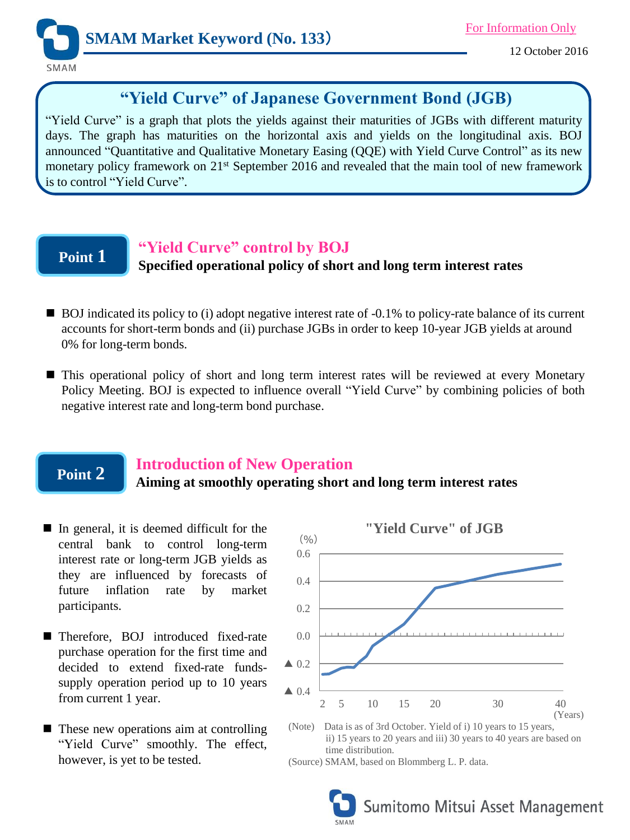

# **"Yield Curve" of Japanese Government Bond (JGB)**

"Yield Curve" is a graph that plots the yields against their maturities of JGBs with different maturity days. The graph has maturities on the horizontal axis and yields on the longitudinal axis. BOJ announced "Quantitative and Qualitative Monetary Easing (QQE) with Yield Curve Control" as its new monetary policy framework on 21<sup>st</sup> September 2016 and revealed that the main tool of new framework is to control "Yield Curve".

# **Point 1**

## **"Yield Curve" control by BOJ**

### **Specified operational policy of short and long term interest rates**

- BOJ indicated its policy to (i) adopt negative interest rate of -0.1% to policy-rate balance of its current accounts for short-term bonds and (ii) purchase JGBs in order to keep 10-year JGB yields at around 0% for long-term bonds.
- $\blacksquare$  This operational policy of short and long term interest rates will be reviewed at every Monetary Policy Meeting. BOJ is expected to influence overall "Yield Curve" by combining policies of both negative interest rate and long-term bond purchase.

### **Point 2**

### **Introduction of New Operation**

### **Aiming at smoothly operating short and long term interest rates**

- In general, it is deemed difficult for the central bank to control long-term interest rate or long-term JGB yields as they are influenced by forecasts of future inflation rate by market participants.
- Therefore, BOJ introduced fixed-rate purchase operation for the first time and decided to extend fixed-rate fundssupply operation period up to 10 years from current 1 year.
- These new operations aim at controlling "Yield Curve" smoothly. The effect, however, is yet to be tested.



ii) 15 years to 20 years and iii) 30 years to 40 years are based on time distribution.

(Source) SMAM, based on Blommberg L. P. data.

Sumitomo Mitsui Asset Management